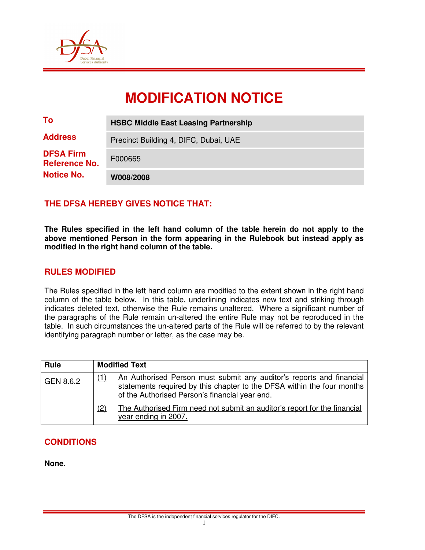

# **MODIFICATION NOTICE**

| To                                                            | <b>HSBC Middle East Leasing Partnership</b> |  |  |
|---------------------------------------------------------------|---------------------------------------------|--|--|
| <b>Address</b>                                                | Precinct Building 4, DIFC, Dubai, UAE       |  |  |
| <b>DFSA Firm</b><br><b>Reference No.</b><br><b>Notice No.</b> | F000665                                     |  |  |
|                                                               | W008/2008                                   |  |  |

# **THE DFSA HEREBY GIVES NOTICE THAT:**

**The Rules specified in the left hand column of the table herein do not apply to the above mentioned Person in the form appearing in the Rulebook but instead apply as modified in the right hand column of the table.** 

# **RULES MODIFIED**

The Rules specified in the left hand column are modified to the extent shown in the right hand column of the table below. In this table, underlining indicates new text and striking through indicates deleted text, otherwise the Rule remains unaltered. Where a significant number of the paragraphs of the Rule remain un-altered the entire Rule may not be reproduced in the table. In such circumstances the un-altered parts of the Rule will be referred to by the relevant identifying paragraph number or letter, as the case may be.

| Rule      |     | <b>Modified Text</b>                                                                                                                                                                             |
|-----------|-----|--------------------------------------------------------------------------------------------------------------------------------------------------------------------------------------------------|
| GEN 8.6.2 |     | An Authorised Person must submit any auditor's reports and financial<br>statements required by this chapter to the DFSA within the four months<br>of the Authorised Person's financial year end. |
|           | (2) | The Authorised Firm need not submit an auditor's report for the financial<br>year ending in 2007.                                                                                                |

# **CONDITIONS**

**None.**